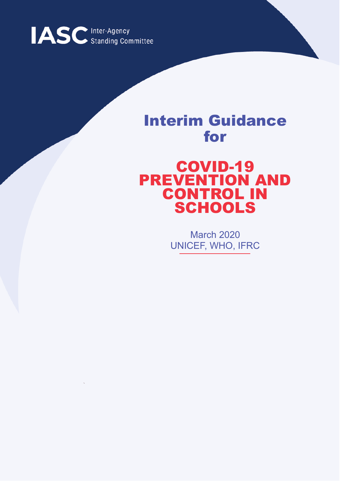

## Interim Guidance for

## COVID-19 PREVENTION AND CONTROL IN SCHOOLS

March 2020 UNICEF, WHO, IFRC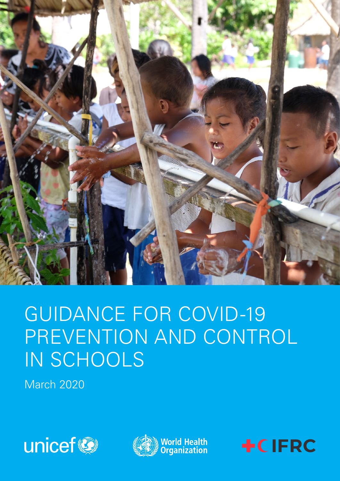

# GUIDANCE FOR COVID-19 PREVENTION AND CONTROL IN SCHOOLS

March 2020





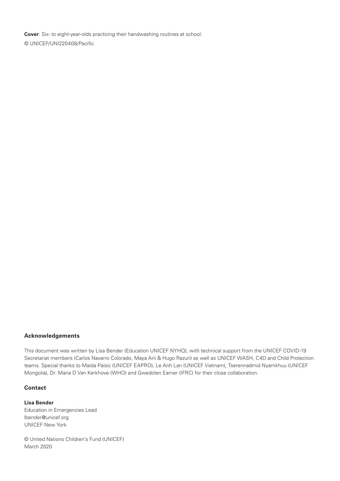**Cover**: Six- to eight-year-olds practicing their handwashing routines at school. © UNICEF/UNI220408/Pacific

#### **Acknowledgements**

This document was written by Lisa Bender (Education UNICEF NYHQ), with technical support from the UNICEF COVID-19 Secretariat members (Carlos Navarro Colorado, Maya Arii & Hugo Razuri) as well as UNICEF WASH, C4D and Child Protection teams. Special thanks to Maida Paisic (UNICEF EAPRO), Le Anh Lan (UNICEF Vietnam), Tserennadmid Nyamkhuu (UNICEF Mongolia), Dr. Maria D Van Kerkhove (WHO) and Gwedolen Eamer (IFRC) for their close collaboration.

### **Contact**

**Lisa Bender** Education in Emergencies Lead lbender@unicef.org UNICEF New York

© United Nations Children's Fund (UNICEF) March 2020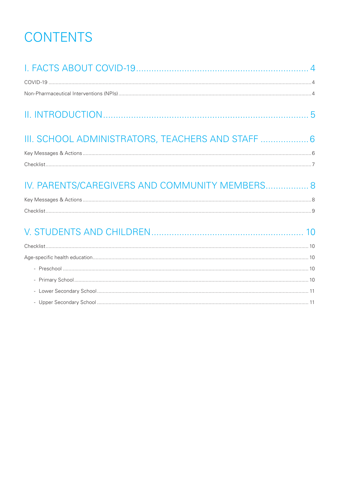## **CONTENTS**

| III. SCHOOL ADMINISTRATORS, TEACHERS AND STAFF  6 |  |
|---------------------------------------------------|--|
|                                                   |  |
|                                                   |  |
| IV. PARENTS/CAREGIVERS AND COMMUNITY MEMBERS 8    |  |
|                                                   |  |
|                                                   |  |
|                                                   |  |
|                                                   |  |
|                                                   |  |
|                                                   |  |
|                                                   |  |
|                                                   |  |
|                                                   |  |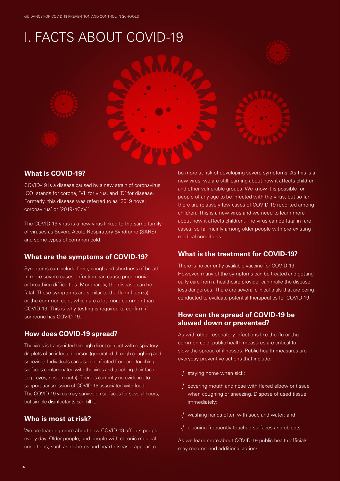## I. FACTS ABOUT COVID-19





## **What is COVID-19?**

COVID-19 is a disease caused by a new strain of coronavirus. 'CO' stands for corona, 'VI' for virus, and 'D' for disease. Formerly, this disease was referred to as '2019 novel coronavirus' or '2019-nCoV.'

The COVID-19 virus is a new virus linked to the same family of viruses as Severe Acute Respiratory Syndrome (SARS) and some types of common cold.

## **What are the symptoms of COVID-19?**

Symptoms can include fever, cough and shortness of breath. In more severe cases, infection can cause pneumonia or breathing difficulties. More rarely, the disease can be fatal. These symptoms are similar to the flu (influenza) or the common cold, which are a lot more common than COVID-19. This is why testing is required to confirm if someone has COVID-19.

## **How does COVID-19 spread?**

The virus is transmitted through direct contact with respiratory droplets of an infected person (generated through coughing and sneezing). Individuals can also be infected from and touching surfaces contaminated with the virus and touching their face (e.g., eyes, nose, mouth). There is currently no evidence to support transmission of COVID-19 associated with food. The COVID-19 virus may survive on surfaces for several hours, but simple disinfectants can kill it.

## **Who is most at risk?**

We are learning more about how COVID-19 affects people every day. Older people, and people with chronic medical conditions, such as diabetes and heart disease, appear to

be more at risk of developing severe symptoms. As this is a new virus, we are still learning about how it affects children and other vulnerable groups. We know it is possible for people of any age to be infected with the virus, but so far there are relatively few cases of COVID-19 reported among children. This is a new virus and we need to learn more about how it affects children. The virus can be fatal in rare cases, so far mainly among older people with pre-existing medical conditions.

## **What is the treatment for COVID-19?**

There is no currently available vaccine for COVID-19. However, many of the symptoms can be treated and getting early care from a healthcare provider can make the disease less dangerous. There are several clinical trials that are being conducted to evaluate potential therapeutics for COVID-19.

### **How can the spread of COVID-19 be slowed down or prevented?**

As with other respiratory infections like the flu or the common cold, public health measures are critical to slow the spread of illnesses. Public health measures are everyday preventive actions that include:

- √ staying home when sick;
- √ covering mouth and nose with flexed elbow or tissue when coughing or sneezing. Dispose of used tissue immediately;
- √ washing hands often with soap and water; and
- √ cleaning frequently touched surfaces and objects.

As we learn more about COVID-19 public health officials may recommend additional actions.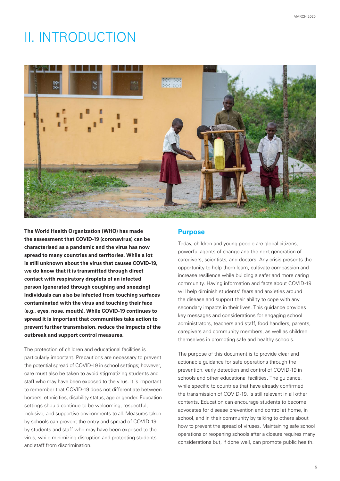## II. INTRODUCTION



**The World Health Organization (WHO) has made the assessment that COVID-19 (coronavirus) can be characterised as a pandemic and the virus has now spread to many countries and territories. While a lot is still unknown about the virus that causes COVID-19, we do know that it is transmitted through direct contact with respiratory droplets of an infected person (generated through coughing and sneezing) Individuals can also be infected from touching surfaces contaminated with the virus and touching their face (e.g., eyes, nose, mouth). While COVID-19 continues to spread it is important that communities take action to prevent further transmission, reduce the impacts of the outbreak and support control measures.** 

The protection of children and educational facilities is particularly important. Precautions are necessary to prevent the potential spread of COVID-19 in school settings; however, care must also be taken to avoid stigmatizing students and staff who may have been exposed to the virus. It is important to remember that COVID-19 does not differentiate between borders, ethnicities, disability status, age or gender. Education settings should continue to be welcoming, respectful, inclusive, and supportive environments to all. Measures taken by schools can prevent the entry and spread of COVID-19 by students and staff who may have been exposed to the virus, while minimizing disruption and protecting students and staff from discrimination.

### **Purpose**

Today, children and young people are global citizens, powerful agents of change and the next generation of caregivers, scientists, and doctors. Any crisis presents the opportunity to help them learn, cultivate compassion and increase resilience while building a safer and more caring community. Having information and facts about COVID-19 will help diminish students' fears and anxieties around the disease and support their ability to cope with any secondary impacts in their lives. This guidance provides key messages and considerations for engaging school administrators, teachers and staff, food handlers, parents, caregivers and community members, as well as children themselves in promoting safe and healthy schools.

The purpose of this document is to provide clear and actionable guidance for safe operations through the prevention, early detection and control of COVID-19 in schools and other educational facilities. The guidance, while specific to countries that have already confirmed the transmission of COVID-19, is still relevant in all other contexts. Education can encourage students to become advocates for disease prevention and control at home, in school, and in their community by talking to others about how to prevent the spread of viruses. Maintaining safe school operations or reopening schools after a closure requires many considerations but, if done well, can promote public health.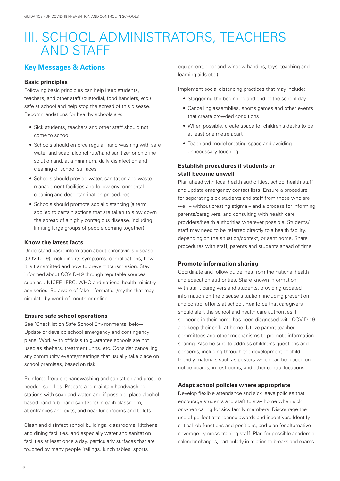## III. SCHOOL ADMINISTRATORS, TEACHERS AND STAFF

### **Key Messages & Actions**

#### **Basic principles**

Following basic principles can help keep students, teachers, and other staff (custodial, food handlers, etc.) safe at school and help stop the spread of this disease. Recommendations for healthy schools are:

- Sick students, teachers and other staff should not come to school
- Schools should enforce regular hand washing with safe water and soap, alcohol rub/hand sanitizer or chlorine solution and, at a minimum, daily disinfection and cleaning of school surfaces
- Schools should provide water, sanitation and waste management facilities and follow environmental cleaning and decontamination procedures
- Schools should promote social distancing (a term applied to certain actions that are taken to slow down the spread of a highly contagious disease, including limiting large groups of people coming together)

#### **Know the latest facts**

Understand basic information about coronavirus disease (COVID-19), including its symptoms, complications, how it is transmitted and how to prevent transmission. Stay informed about COVID-19 through reputable sources such as UNICEF, IFRC, WHO and national health ministry advisories. Be aware of fake information/myths that may circulate by word-of-mouth or online.

#### **Ensure safe school operations**

See 'Checklist on Safe School Environments' below Update or develop school emergency and contingency plans. Work with officials to guarantee schools are not used as shelters, treatment units, etc. Consider cancelling any community events/meetings that usually take place on school premises, based on risk.

Reinforce frequent handwashing and sanitation and procure needed supplies. Prepare and maintain handwashing stations with soap and water, and if possible, place alcoholbased hand rub (hand sanitizers) in each classroom, at entrances and exits, and near lunchrooms and toilets.

Clean and disinfect school buildings, classrooms, kitchens and dining facilities, and especially water and sanitation facilities at least once a day, particularly surfaces that are touched by many people (railings, lunch tables, sports

equipment, door and window handles, toys, teaching and learning aids etc.)

Implement social distancing practices that may include:

- Staggering the beginning and end of the school day
- Cancelling assemblies, sports games and other events that create crowded conditions
- When possible, create space for children's desks to be at least one metre apart
- Teach and model creating space and avoiding unnecessary touching

### **Establish procedures if students or staff become unwell**

Plan ahead with local health authorities, school health staff and update emergency contact lists. Ensure a procedure for separating sick students and staff from those who are well – without creating stigma – and a process for informing parents/caregivers, and consulting with health care providers/health authorities wherever possible. Students/ staff may need to be referred directly to a health facility, depending on the situation/context, or sent home. Share procedures with staff, parents and students ahead of time.

#### **Promote information sharing**

Coordinate and follow guidelines from the national health and education authorities. Share known information with staff, caregivers and students, providing updated information on the disease situation, including prevention and control efforts at school. Reinforce that caregivers should alert the school and health care authorities if someone in their home has been diagnosed with COVID-19 and keep their child at home. Utilize parent-teacher committees and other mechanisms to promote information sharing. Also be sure to address children's questions and concerns, including through the development of childfriendly materials such as posters which can be placed on notice boards, in restrooms, and other central locations.

#### **Adapt school policies where appropriate**

Develop flexible attendance and sick leave policies that encourage students and staff to stay home when sick or when caring for sick family members. Discourage the use of perfect attendance awards and incentives. Identify critical job functions and positions, and plan for alternative coverage by cross-training staff. Plan for possible academic calendar changes, particularly in relation to breaks and exams.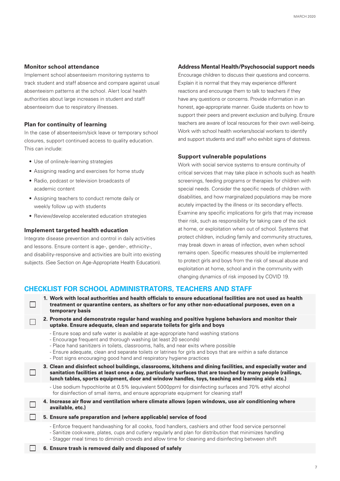#### **Monitor school attendance**

Implement school absenteeism monitoring systems to track student and staff absence and compare against usual absenteeism patterns at the school. Alert local health authorities about large increases in student and staff absenteeism due to respiratory illnesses.

#### **Plan for continuity of learning**

In the case of absenteeism/sick leave or temporary school closures, support continued access to quality education. This can include:

- Use of online/e-learning strategies
- Assigning reading and exercises for home study
- Radio, podcast or television broadcasts of academic content
- Assigning teachers to conduct remote daily or weekly follow up with students
- Review/develop accelerated education strategies

#### **Implement targeted health education**

П

П

П

П

Integrate disease prevention and control in daily activities and lessons. Ensure content is age-, gender-, ethnicity-, and disability-responsive and activities are built into existing subjects. (See Section on Age-Appropriate Health Education).

#### **Address Mental Health/Psychosocial support needs**

Encourage children to discuss their questions and concerns. Explain it is normal that they may experience different reactions and encourage them to talk to teachers if they have any questions or concerns. Provide information in an honest, age-appropriate manner. Guide students on how to support their peers and prevent exclusion and bullying. Ensure teachers are aware of local resources for their own well-being. Work with school health workers/social workers to identify and support students and staff who exhibit signs of distress.

#### **Support vulnerable populations**

Work with social service systems to ensure continuity of critical services that may take place in schools such as health screenings, feeding programs or therapies for children with special needs. Consider the specific needs of children with disabilities, and how marginalized populations may be more acutely impacted by the illness or its secondary effects. Examine any specific implications for girls that may increase their risk, such as responsibility for taking care of the sick at home, or exploitation when out of school. Systems that protect children, including family and community structures, may break down in areas of infection, even when school remains open. Specific measures should be implemented to protect girls and boys from the risk of sexual abuse and exploitation at home, school and in the community with changing dynamics of risk imposed by COVID 19.

#### **CHECKLIST FOR SCHOOL ADMINISTRATORS, TEACHERS AND STAFF**

- **1. Work with local authorities and health officials to ensure educational facilities are not used as health**  П **treatment or quarantine centers, as shelters or for any other non-educational purposes, even on a temporary basis**
	- **2. Promote and demonstrate regular hand washing and positive hygiene behaviors and monitor their uptake. Ensure adequate, clean and separate toilets for girls and boys**
		- Ensure soap and safe water is available at age-appropriate hand washing stations
		- Encourage frequent and thorough washing (at least 20 seconds)
		- Place hand sanitizers in toilets, classrooms, halls, and near exits where possible
		- Ensure adequate, clean and separate toilets or latrines for girls and boys that are within a safe distance
		- Post signs encouraging good hand and respiratory hygiene practices

**3. Clean and disinfect school buildings, classrooms, kitchens and dining facilities, and especially water and sanitation facilities at least once a day, particularly surfaces that are touched by many people (railings, lunch tables, sports equipment, door and window handles, toys, teaching and learning aids etc.)** 

- Use sodium hypochlorite at 0.5% (equivalent 5000ppm) for disinfecting surfaces and 70% ethyl alcohol for disinfection of small items, and ensure appropriate equipment for cleaning staff

- **4. Increase air flow and ventilation where climate allows (open windows, use air conditioning where available, etc.)**
	- **5. Ensure safe preparation and (where applicable) service of food**
		- Enforce frequent handwashing for all cooks, food handlers, cashiers and other food service personnel - Sanitize cookware, plates, cups and cutlery regularly and plan for distribution that minimizes handling
		- Stagger meal times to diminish crowds and allow time for cleaning and disinfecting between shift
	- **6. Ensure trash is removed daily and disposed of safely**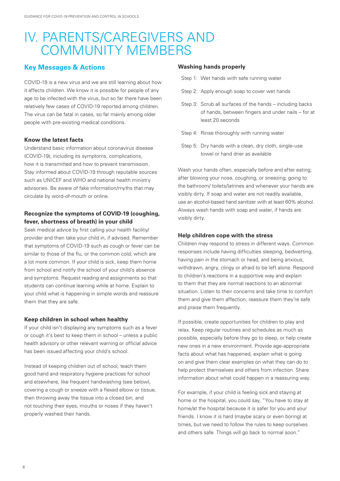## IV. PARENTS/CAREGIVERS AND COMMUNITY MEMBERS

### **Key Messages & Actions**

COVID-19 is a new virus and we are still learning about how it affects children. We know it is possible for people of any age to be infected with the virus, but so far there have been relatively few cases of COVID-19 reported among children. The virus can be fatal in cases, so far mainly among older people with pre-existing medical conditions.

#### **Know the latest facts**

Understand basic information about coronavirus disease (COVID-19), including its symptoms, complications, how it is transmitted and how to prevent transmission. Stay informed about COVID-19 through reputable sources such as UNICEF and WHO and national health ministry advisories. Be aware of fake information/myths that may circulate by word-of-mouth or online.

### **Recognize the symptoms of COVID-19 (coughing, fever, shortness of breath) in your child**

Seek medical advice by first calling your health facility/ provider and then take your child in, if advised. Remember that symptoms of COVID-19 such as cough or fever can be similar to those of the flu, or the common cold, which are a lot more common. If your child is sick, keep them home from school and notify the school of your child's absence and symptoms. Request reading and assignments so that students can continue learning while at home. Explain to your child what is happening in simple words and reassure them that they are safe.

#### **Keep children in school when healthy**

If your child isn't displaying any symptoms such as a fever or cough it's best to keep them in school – unless a public health advisory or other relevant warning or official advice has been issued affecting your child's school.

Instead of keeping children out of school, teach them good hand and respiratory hygiene practices for school and elsewhere, like frequent handwashing (see below), covering a cough or sneeze with a flexed elbow or tissue, then throwing away the tissue into a closed bin, and not touching their eyes, mouths or noses if they haven't properly washed their hands.

#### **Washing hands properly**

- Step 1: Wet hands with safe running water
- Step 2: Apply enough soap to cover wet hands
- Step 3: Scrub all surfaces of the hands including backs of hands, between fingers and under nails – for at least 20 seconds
- Step 4: Rinse thoroughly with running water
- Step 5: Dry hands with a clean, dry cloth, single-use towel or hand drier as available

Wash your hands often, especially before and after eating; after blowing your nose, coughing, or sneezing; going to the bathroom/ toilets/latrines and whenever your hands are visibly dirty. If soap and water are not readily available, use an alcohol-based hand sanitizer with at least 60% alcohol. Always wash hands with soap and water, if hands are visibly dirty.

#### **Help children cope with the stress**

Children may respond to stress in different ways. Common responses include having difficulties sleeping, bedwetting, having pain in the stomach or head, and being anxious, withdrawn, angry, clingy or afraid to be left alone. Respond to children's reactions in a supportive way and explain to them that they are normal reactions to an abnormal situation. Listen to their concerns and take time to comfort them and give them affection, reassure them they're safe and praise them frequently.

If possible, create opportunities for children to play and relax. Keep regular routines and schedules as much as possible, especially before they go to sleep, or help create new ones in a new environment. Provide age-appropriate facts about what has happened, explain what is going on and give them clear examples on what they can do to help protect themselves and others from infection. Share information about what could happen in a reassuring way.

For example, if your child is feeling sick and staying at home or the hospital, you could say, "You have to stay at home/at the hospital because it is safer for you and your friends. I know it is hard (maybe scary or even boring) at times, but we need to follow the rules to keep ourselves and others safe. Things will go back to normal soon."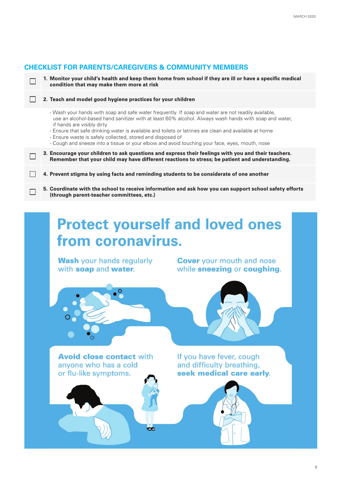## **CHECKLIST FOR PARENTS/CAREGIVERS & COMMUNITY MEMBERS**

 $\Box$ 

 $\Box$ 

П

 $\Box$ 

#### **2. Teach and model good hygiene practices for your children**

- Wash your hands with soap and safe water frequently. If soap and water are not readily available, use an alcohol-based hand sanitizer with at least 60% alcohol. Always wash hands with soap and water, if hands are visibly dirty

**1. Monitor your child's health and keep them home from school if they are ill or have a specific medical** 

- Ensure that safe drinking water is available and toilets or latrines are clean and available at home
- Ensure waste is safely collected, stored and disposed of

**condition that may make them more at risk**

- Cough and sneeze into a tissue or your elbow and avoid touching your face, eyes, mouth, nose
- **3. Encourage your children to ask questions and express their feelings with you and their teachers. Remember that your child may have different reactions to stress; be patient and understanding.**

**4. Prevent stigma by using facts and reminding students to be considerate of one another**

**CC** 

**5. Coordinate with the school to receive information and ask how you can support school safety efforts (through parent-teacher committees, etc.)** 

## **Protect yourself and loved ones** from coronavirus.

**Wash** your hands regularly with soap and water.

**Cover** your mouth and nose while sneezing or coughing.



**Avoid close contact with** anvone who has a cold or flu-like symptoms.

If you have fever, cough and difficulty breathing, seek medical care early.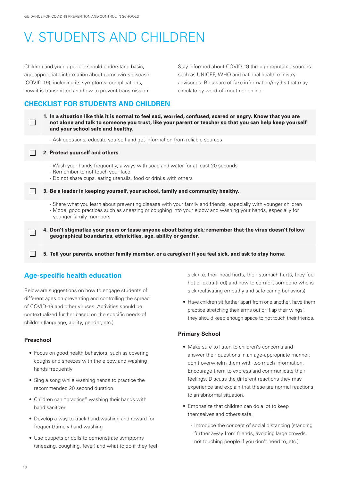## V. STUDENTS AND CHILDREN

Children and young people should understand basic, age-appropriate information about coronavirus disease (COVID-19), including its symptoms, complications, how it is transmitted and how to prevent transmission. Stay informed about COVID-19 through reputable sources such as UNICEF, WHO and national health ministry advisories. Be aware of fake information/myths that may circulate by word-of-mouth or online.

## **CHECKLIST FOR STUDENTS AND CHILDREN**

**1. In a situation like this it is normal to feel sad, worried, confused, scared or angry. Know that you are**   $\Box$ **not alone and talk to someone you trust, like your parent or teacher so that you can help keep yourself and your school safe and healthy.** - Ask questions, educate yourself and get information from reliable sources П **2. Protect yourself and others** - Wash your hands frequently, always with soap and water for at least 20 seconds - Remember to not touch your face - Do not share cups, eating utensils, food or drinks with others **3. Be a leader in keeping yourself, your school, family and community healthy.**  - Share what you learn about preventing disease with your family and friends, especially with younger children - Model good practices such as sneezing or coughing into your elbow and washing your hands, especially for younger family members **4. Don't stigmatize your peers or tease anyone about being sick; remember that the virus doesn't follow**  П **geographical boundaries, ethnicities, age, ability or gender. 5. Tell your parents, another family member, or a caregiver if you feel sick, and ask to stay home.**  $\Box$ 

## **Age-specific health education**

Below are suggestions on how to engage students of different ages on preventing and controlling the spread of COVID-19 and other viruses. Activities should be contextualized further based on the specific needs of children (language, ability, gender, etc.).

### **Preschool**

- Focus on good health behaviors, such as covering coughs and sneezes with the elbow and washing hands frequently
- Sing a song while washing hands to practice the recommended 20 second duration.
- Children can "practice" washing their hands with hand sanitizer
- Develop a way to track hand washing and reward for frequent/timely hand washing
- Use puppets or dolls to demonstrate symptoms (sneezing, coughing, fever) and what to do if they feel

sick (i.e. their head hurts, their stomach hurts, they feel hot or extra tired) and how to comfort someone who is sick (cultivating empathy and safe caring behaviors)

• Have children sit further apart from one another, have them practice stretching their arms out or 'flap their wings', they should keep enough space to not touch their friends.

#### **Primary School**

- Make sure to listen to children's concerns and answer their questions in an age-appropriate manner; don't overwhelm them with too much information. Encourage them to express and communicate their feelings. Discuss the different reactions they may experience and explain that these are normal reactions to an abnormal situation.
- Emphasize that children can do a lot to keep themselves and others safe.
	- Introduce the concept of social distancing (standing further away from friends, avoiding large crowds, not touching people if you don't need to, etc.)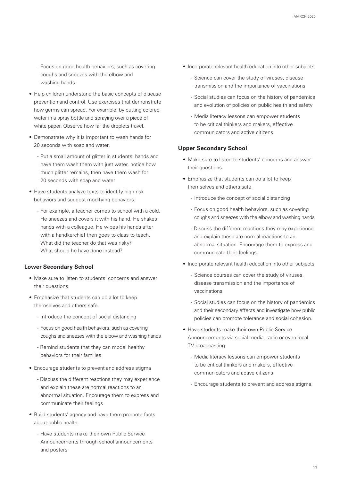- Focus on good health behaviors, such as covering coughs and sneezes with the elbow and washing hands
- Help children understand the basic concepts of disease prevention and control. Use exercises that demonstrate how germs can spread. For example, by putting colored water in a spray bottle and spraying over a piece of white paper. Observe how far the droplets travel.
- Demonstrate why it is important to wash hands for 20 seconds with soap and water.
	- Put a small amount of glitter in students' hands and have them wash them with just water, notice how much glitter remains, then have them wash for 20 seconds with soap and water
- Have students analyze texts to identify high risk behaviors and suggest modifying behaviors.
	- For example, a teacher comes to school with a cold. He sneezes and covers it with his hand. He shakes hands with a colleague. He wipes his hands after with a handkerchief then goes to class to teach. What did the teacher do that was risky? What should he have done instead?

#### **Lower Secondary School**

- Make sure to listen to students' concerns and answer their questions.
- Emphasize that students can do a lot to keep themselves and others safe.
	- Introduce the concept of social distancing
	- Focus on good health behaviors, such as covering coughs and sneezes with the elbow and washing hands
	- Remind students that they can model healthy behaviors for their families
- Encourage students to prevent and address stigma
	- Discuss the different reactions they may experience and explain these are normal reactions to an abnormal situation. Encourage them to express and communicate their feelings
- Build students' agency and have them promote facts about public health.
	- Have students make their own Public Service Announcements through school announcements and posters
- Incorporate relevant health education into other subjects
	- Science can cover the study of viruses, disease transmission and the importance of vaccinations
	- Social studies can focus on the history of pandemics and evolution of policies on public health and safety
	- Media literacy lessons can empower students to be critical thinkers and makers, effective communicators and active citizens

#### **Upper Secondary School**

- Make sure to listen to students' concerns and answer their questions.
- Emphasize that students can do a lot to keep themselves and others safe.
	- Introduce the concept of social distancing
	- Focus on good health behaviors, such as covering coughs and sneezes with the elbow and washing hands
	- Discuss the different reactions they may experience and explain these are normal reactions to an abnormal situation. Encourage them to express and communicate their feelings.
- Incorporate relevant health education into other subjects
	- Science courses can cover the study of viruses, disease transmission and the importance of vaccinations
	- Social studies can focus on the history of pandemics and their secondary effects and investigate how public policies can promote tolerance and social cohesion.
- Have students make their own Public Service Announcements via social media, radio or even local TV broadcasting
	- Media literacy lessons can empower students to be critical thinkers and makers, effective communicators and active citizens
	- Encourage students to prevent and address stigma.